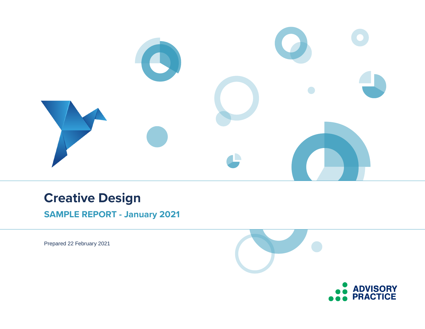

# **Creative Design**

**SAMPLE REPORT - January 2021**

Prepared 22 February 2021

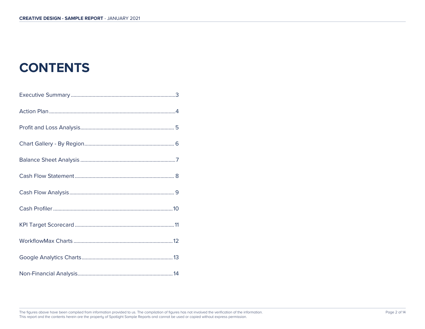# **CONTENTS**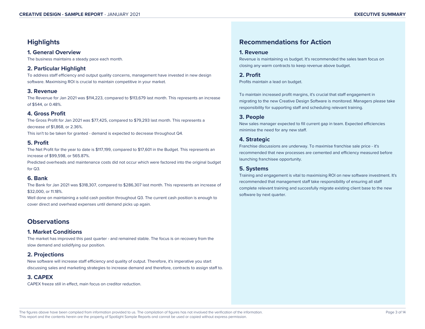# **Highlights**

## **1. General Overview**

The business maintains a steady pace each month.

# **2. Particular Highlight**

To address staff efficiency and output quality concerns, management have invested in new design software. Maximising ROI is crucial to maintain competitive in your market.

## **3. Revenue**

The Revenue for Jan 2021 was \$114,223, compared to \$113,679 last month. This represents an increase of \$544, or 0.48%.

# **4. Gross Profit**

The Gross Profit for Jan 2021 was \$77,425, compared to \$79,293 last month. This represents a decrease of \$1,868, or 2.36%. This isn't to be taken for granted - demand is expected to decrease throughout Q4.

## **5. Profit**

The Net Profit for the year to date is \$117,199, compared to \$17,601 in the Budget. This represents an increase of \$99,598, or 565.87%.

Predicted overheads and maintenance costs did not occur which were factored into the original budget for Q3.

# **6. Bank**

The Bank for Jan 2021 was \$318,307, compared to \$286,307 last month. This represents an increase of \$32,000, or 11.18%.

Well done on maintaining a solid cash position throughout Q3. The current cash position is enough to cover direct and overhead expenses until demand picks up again.

# **Observations**

# **1. Market Conditions**

The market has improved this past quarter - and remained stable. The focus is on recovery from the slow demand and solidifying our position.

# **2. Projections**

New software will increase staff efficiency and quality of output. Therefore, it's imperative you start discussing sales and marketing strategies to increase demand and therefore, contracts to assign staff to.

# **3. CAPEX**

CAPEX freeze still in effect, main focus on creditor reduction.

# **Recommendations for Action**

### **1. Revenue**

Revenue is maintaining vs budget. It's recommended the sales team focus on closing any warm contracts to keep revenue above budget.

**2. Profit** Profits maintain a lead on budget.

To maintain increased profit margins, it's crucial that staff engagement in migrating to the new Creative Design Software is monitored. Managers please take responsibility for supporting staff and scheduling relevant training.

# **3. People**

New sales manager expected to fill current gap in team. Expected efficiencies minimise the need for any new staff.

# **4. Strategic**

Franchise discussions are underway. To maximise franchise sale price - it's recommended that new processes are cemented and efficiency measured before launching franchisee opportunity.

# **5. Systems**

Training and engagement is vital to maximising ROI on new software investment. It's recommended that management staff take responsibility of ensuring all staff complete relevant training and succesfully migrate existing client base to the new software by next quarter.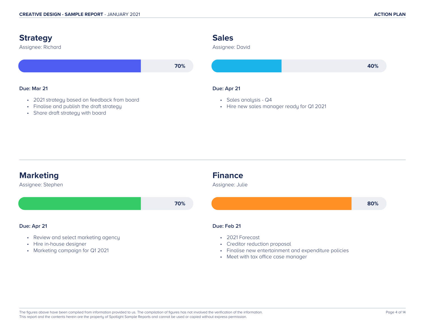



• Meet with tax office case manager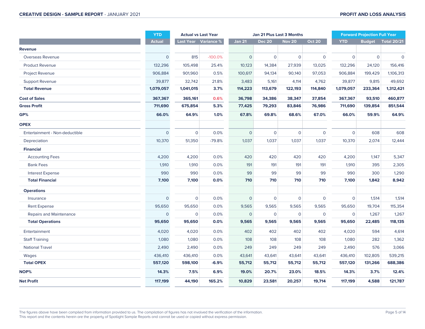|                                | <b>YTD</b>     |              | <b>Actual vs Last Year</b> |                | Jan 21 Plus Last 3 Months |               | <b>Forward Projection Full Year</b> |                |                |                    |
|--------------------------------|----------------|--------------|----------------------------|----------------|---------------------------|---------------|-------------------------------------|----------------|----------------|--------------------|
|                                | <b>Actual</b>  |              | Last Year Variance %       | <b>Jan 21</b>  | <b>Dec 20</b>             | <b>Nov 20</b> | <b>Oct 20</b>                       | <b>YTD</b>     | <b>Budget</b>  | <b>Total 20/21</b> |
| Revenue                        |                |              |                            |                |                           |               |                                     |                |                |                    |
| Overseas Revenue               | $\overline{O}$ | 815          | $-100.0%$                  | $\overline{0}$ | $\mathbf{O}$              | $\mathbf{O}$  | $\mathbf 0$                         | $\overline{0}$ | $\overline{0}$ | $\mathbf{O}$       |
| <b>Product Revenue</b>         | 132,296        | 105,498      | 25.4%                      | 10,123         | 14,384                    | 27,939        | 13,025                              | 132,296        | 24,120         | 156,416            |
| Project Revenue                | 906,884        | 901,960      | 0.5%                       | 100,617        | 94,134                    | 90,140        | 97,053                              | 906,884        | 199,429        | 1,106,313          |
| <b>Support Revenue</b>         | 39,877         | 32,742       | 21.8%                      | 3,483          | 5,161                     | 4,114         | 4,762                               | 39,877         | 9,815          | 49,692             |
| <b>Total Revenue</b>           | 1,079,057      | 1,041,015    | 3.7%                       | 114,223        | 113,679                   | 122,193       | 114,840                             | 1,079,057      | 233,364        | 1,312,421          |
| <b>Cost of Sales</b>           | 367,367        | 365,161      | 0.6%                       | 36,798         | 34,386                    | 38,347        | 37,854                              | 367,367        | 93,510         | 460,877            |
| <b>Gross Profit</b>            | 711,690        | 675,854      | 5.3%                       | 77,425         | 79,293                    | 83,846        | 76,986                              | 711,690        | 139,854        | 851,544            |
| GP%                            | 66.0%          | 64.9%        | 1.0%                       | 67.8%          | 69.8%                     | 68.6%         | 67.0%                               | 66.0%          | 59.9%          | 64.9%              |
| <b>OPEX</b>                    |                |              |                            |                |                           |               |                                     |                |                |                    |
| Entertainment - Non-deductible | $\mathbf{O}$   | $\mathbf 0$  | 0.0%                       | $\overline{0}$ | $\mathbf 0$               | $\mathbf 0$   | $\mathsf{O}\xspace$                 | $\overline{0}$ | 608            | 608                |
| Depreciation                   | 10,370         | 51,350       | $-79.8%$                   | 1,037          | 1,037                     | 1,037         | 1,037                               | 10,370         | 2,074          | 12,444             |
| <b>Financial</b>               |                |              |                            |                |                           |               |                                     |                |                |                    |
| <b>Accounting Fees</b>         | 4,200          | 4,200        | 0.0%                       | 420            | 420                       | 420           | 420                                 | 4,200          | 1,147          | 5,347              |
| <b>Bank Fees</b>               | 1,910          | 1,910        | 0.0%                       | 191            | 191                       | 191           | 191                                 | 1,910          | 395            | 2,305              |
| <b>Interest Expense</b>        | 990            | 990          | 0.0%                       | 99             | 99                        | 99            | 99                                  | 990            | 300            | 1,290              |
| <b>Total Financial</b>         | 7,100          | 7,100        | 0.0%                       | 710            | 710                       | 710           | 710                                 | 7,100          | 1,842          | 8,942              |
| <b>Operations</b>              |                |              |                            |                |                           |               |                                     |                |                |                    |
| Insurance                      | $\overline{O}$ | $\mathbf 0$  | 0.0%                       | $\overline{O}$ | $\mathbf 0$               | $\mathbf 0$   | $\overline{0}$                      | $\overline{0}$ | 1,514          | 1,514              |
| <b>Rent Expense</b>            | 95,650         | 95,650       | 0.0%                       | 9,565          | 9,565                     | 9,565         | 9,565                               | 95,650         | 19,704         | 115,354            |
| Repairs and Maintenance        | $\overline{O}$ | $\mathbf{O}$ | 0.0%                       | $\overline{O}$ | $\overline{O}$            | $\mathbf{O}$  | $\mathbf 0$                         | $\overline{0}$ | 1,267          | 1,267              |
| <b>Total Operations</b>        | 95,650         | 95,650       | 0.0%                       | 9,565          | 9,565                     | 9,565         | 9,565                               | 95,650         | 22,485         | 118,135            |
| Entertainment                  | 4,020          | 4,020        | 0.0%                       | 402            | 402                       | 402           | 402                                 | 4,020          | 594            | 4,614              |
| <b>Staff Training</b>          | 1,080          | 1,080        | 0.0%                       | 108            | 108                       | 108           | 108                                 | 1,080          | 282            | 1,362              |
| <b>National Travel</b>         | 2,490          | 2,490        | 0.0%                       | 249            | 249                       | 249           | 249                                 | 2,490          | 576            | 3,066              |
| Wages                          | 436,410        | 436,410      | 0.0%                       | 43,641         | 43,641                    | 43,641        | 43,641                              | 436,410        | 102,805        | 539,215            |
| <b>Total OPEX</b>              | 557,120        | 598,100      | $-6.9%$                    | 55,712         | 55,712                    | 55,712        | 55,712                              | 557,120        | 131,266        | 688,386            |
| NOP%                           | 14.3%          | 7.5%         | 6.9%                       | 19.0%          | 20.7%                     | 23.0%         | 18.5%                               | 14.3%          | 3.7%           | 12.4%              |
| <b>Net Profit</b>              | 117,199        | 44,190       | 165.2%                     | 10,829         | 23,581                    | 20,257        | 19,714                              | 117,199        | 4,588          | 121,787            |

The figures above have been compiled from information provided to us. The compilation of figures has not involved the verification of the information.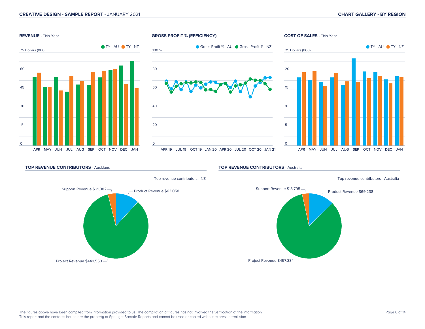

#### **TOP REVENUE CONTRIBUTORS** - Auckland



#### **TOP REVENUE CONTRIBUTORS** - Australia

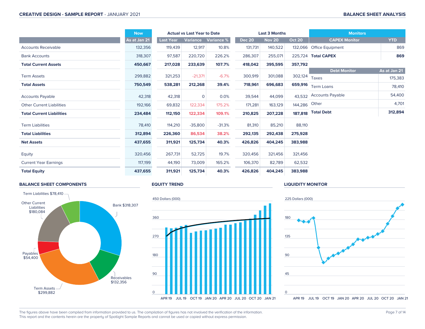|                                  | <b>Now</b>   | <b>Actual vs Last Year to Date</b> |              |            |               | <b>Last 3 Months</b> |               | <b>Monitors</b>          |              |  |
|----------------------------------|--------------|------------------------------------|--------------|------------|---------------|----------------------|---------------|--------------------------|--------------|--|
|                                  | As at Jan 21 | Last Year                          | Variance     | Variance % | <b>Dec 20</b> | <b>Nov 20</b>        | <b>Oct 20</b> | <b>CAPEX Monitor</b>     | <b>YTD</b>   |  |
| <b>Accounts Receivable</b>       | 132,356      | 119,439                            | 12,917       | 10.8%      | 131,731       | 140,522              |               | 132,066 Office Equipment | 869          |  |
| <b>Bank Accounts</b>             | 318,307      | 97,587                             | 220,720      | 226.2%     | 286,307       | 255,071              |               | 225,724 Total CAPEX      | 869          |  |
| <b>Total Current Assets</b>      | 450,667      | 217,028                            | 233,639      | 107.7%     | 418,042       | 395,595              | 357,792       |                          |              |  |
|                                  |              |                                    |              |            |               |                      |               | <b>Debt Monitor</b>      | As at Jan 21 |  |
| <b>Term Assets</b>               | 299,882      | 321,253                            | $-21,371$    | $-6.7%$    | 300,919       | 301,088              | 302,124       | Taxes                    | 175,383      |  |
| <b>Total Assets</b>              | 750,549      | 538,281                            | 212,268      | 39.4%      | 718,961       | 696,683              | 659,916       | <b>Term Loans</b>        | 78,410       |  |
| <b>Accounts Payable</b>          | 42,318       | 42,318                             | $\mathbf{0}$ | 0.0%       | 39,544        | 44,099               | 43,532        | <b>Accounts Payable</b>  | 54,400       |  |
| <b>Other Current Liabilities</b> | 192,166      | 69,832                             | 122,334      | 175.2%     | 171,281       | 163,129              | 144,286 Other |                          | 4,701        |  |
| <b>Total Current Liabilities</b> | 234,484      | 112,150                            | 122,334      | 109.1%     | 210,825       | 207,228              |               | 187,818 Total Debt       | 312,894      |  |
| <b>Term Liabilities</b>          | 78,410       | 114,210                            | $-35,800$    | $-31.3%$   | 81,310        | 85,210               | 88,110        |                          |              |  |
| <b>Total Liabilities</b>         | 312,894      | 226,360                            | 86,534       | 38.2%      | 292,135       | 292,438              | 275,928       |                          |              |  |
| <b>Net Assets</b>                | 437,655      | 311,921                            | 125,734      | 40.3%      | 426,826       | 404,245              | 383,988       |                          |              |  |
| Equity                           | 320,456      | 267,731                            | 52,725       | 19.7%      | 320,456       | 321,456              | 321,456       |                          |              |  |
| <b>Current Year Earnings</b>     | 117,199      | 44,190                             | 73,009       | 165.2%     | 106,370       | 82,789               | 62,532        |                          |              |  |
| <b>Total Equity</b>              | 437,655      | 311,921                            | 125,734      | 40.3%      | 426,826       | 404,245              | 383,988       |                          |              |  |

#### **BALANCE SHEET COMPONENTS**



#### **EQUITY TREND**



#### **LIQUIDITY MONITOR**

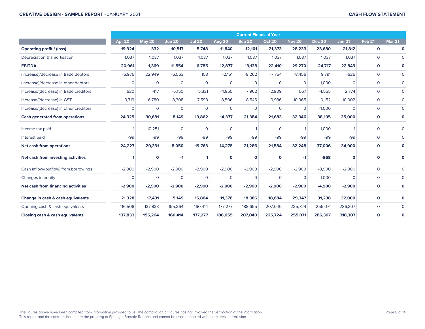|                                        | <b>Current Financial Year</b> |                |               |               |                |                |                |               |               |                |                |                |
|----------------------------------------|-------------------------------|----------------|---------------|---------------|----------------|----------------|----------------|---------------|---------------|----------------|----------------|----------------|
|                                        | <b>Apr 20</b>                 | May 20         | <b>Jun 20</b> | <b>Jul 20</b> | <b>Aug 20</b>  | Sep 20         | <b>Oct 20</b>  | <b>Nov 20</b> | <b>Dec 20</b> | <b>Jan 21</b>  | <b>Feb 21</b>  | <b>Mar 21</b>  |
| <b>Operating profit / (loss)</b>       | 19,924                        | 332            | 10,517        | 5,748         | 11,840         | 12,101         | 21,373         | 28,233        | 23,680        | 21,812         | $\mathbf 0$    | $\mathbf 0$    |
| Depreciation & amortisation            | 1,037                         | 1.037          | 1,037         | 1,037         | 1,037          | 1.037          | 1,037          | 1,037         | 1,037         | 1,037          | $\Omega$       | $\Omega$       |
| <b>EBITDA</b>                          | 20,961                        | 1,369          | 11,554        | 6,785         | 12,877         | 13,138         | 22,410         | 29,270        | 24,717        | 22,849         | $\mathbf 0$    | $\mathbf 0$    |
| (Increase)/decrease in trade debtors   | $-6,975$                      | 22,949         | $-6,563$      | 153           | $-2,151$       | $-8,262$       | $-7,754$       | $-8,456$      | 9.791         | $-625$         | $\Omega$       | $\mathbf{0}$   |
| (Increase)/decrease in other debtors   | $\mathbf{O}$                  | $\overline{0}$ | $\mathbf{O}$  | $\mathbf 0$   | $\overline{0}$ | $\mathbf{0}$   | $\overline{0}$ | $\mathbf{O}$  | $-1,000$      | $\overline{0}$ | $\overline{0}$ | $\mathbf{O}$   |
| Increase/(decrease) in trade creditors | 620                           | $-417$         | $-5,150$      | 5,331         | $-4,855$       | 7,962          | $-2,909$       | 567           | $-4,555$      | 2,774          | $\overline{0}$ | $\mathbf{0}$   |
| Increase/(decrease) in GST             | 9,719                         | 6,780          | 8,308         | 7,593         | 8,506          | 8,546          | 9,936          | 10,965        | 10,152        | 10,002         | $\overline{0}$ | $\mathbf{0}$   |
| Increase/(decrease) in other creditors | $\mathbf{O}$                  | $\overline{0}$ | $\mathbf{O}$  | $\mathbf{0}$  | $\mathbf{O}$   | $\overline{0}$ | $\mathbf{0}$   | $\mathbf{0}$  | $-1,000$      | $\overline{0}$ | $\overline{0}$ | $\mathbf{0}$   |
| Cash generated from operations         | 24,325                        | 30,681         | 8,149         | 19,862        | 14,377         | 21,384         | 21,683         | 32,346        | 38,105        | 35,000         | $\mathbf 0$    | $\mathbf{o}$   |
| Income tax paid                        |                               | $-10,251$      | $\mathbf{0}$  | $\mathbf 0$   | $\Omega$       |                | $\overline{0}$ |               | $-1,000$      | $-1$           | $\mathbf 0$    | $\Omega$       |
| Interest paid                          | $-99$                         | $-99$          | $-99$         | $-99$         | $-99$          | $-99$          | $-99$          | $-99$         | $-99$         | $-99$          | $\Omega$       | $\mathbf 0$    |
| Net cash from operations               | 24,227                        | 20,331         | 8,050         | 19,763        | 14,278         | 21,286         | 21,584         | 32,248        | 37,006        | 34,900         | $\mathbf 0$    | $\mathbf 0$    |
| Net cash from investing activities     |                               | $\mathbf 0$    | $-1$          |               | $\mathbf 0$    | $\Omega$       | $\mathbf 0$    | $-1$          | $-868$        | $\Omega$       | $\mathbf 0$    | O              |
| Cash inflow/(outflow) from borrowings  | $-2,900$                      | $-2,900$       | $-2,900$      | $-2,900$      | $-2,900$       | $-2,900$       | $-2,900$       | $-2,900$      | $-3,900$      | $-2,900$       | $\mathbf 0$    | $\Omega$       |
| Changes in equity                      | $\Omega$                      | $\Omega$       | $\Omega$      | $\mathbf{0}$  | $\Omega$       | $\Omega$       | $\Omega$       | $\Omega$      | $-1,000$      | $\Omega$       | $\Omega$       | $\mathbf{O}$   |
| Net cash from financing activities     | $-2,900$                      | $-2,900$       | $-2,900$      | $-2,900$      | $-2,900$       | $-2,900$       | $-2,900$       | $-2,900$      | $-4,900$      | $-2,900$       | $\mathbf 0$    | $\mathbf{o}$   |
| Change in cash & cash equivalents      | 21,328                        | 17,431         | 5,149         | 16,864        | 11,378         | 18,386         | 18,684         | 29,347        | 31,238        | 32,000         | $\mathbf 0$    | $\Omega$       |
| Opening cash & cash equivalents        | 116,508                       | 137,833        | 155,264       | 160,414       | 177,277        | 188,655        | 207,040        | 225,724       | 255,071       | 286,307        | $\overline{0}$ | $\overline{0}$ |
| Closing cash & cash equivalents        | 137,833                       | 155,264        | 160,414       | 177,277       | 188,655        | 207,040        | 225,724        | 255,071       | 286,307       | 318,307        | $\mathbf 0$    | $\mathbf 0$    |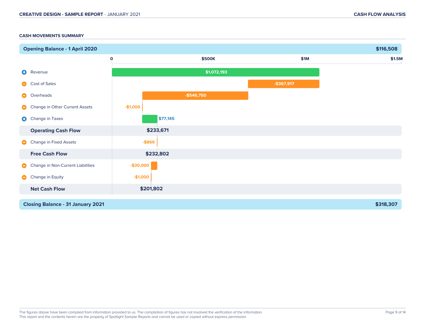#### **CASH MOVEMENTS SUMMARY**

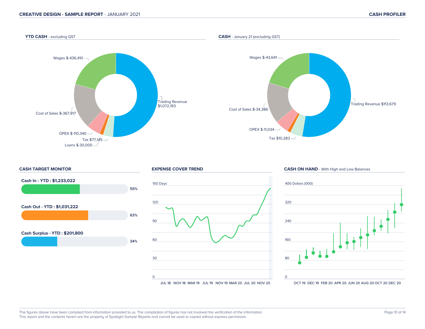#### **YTD CASH** - excluding GST

#### **CASH** - January 21 (excluding GST)









**CASH ON HAND** - With High and Low Balances

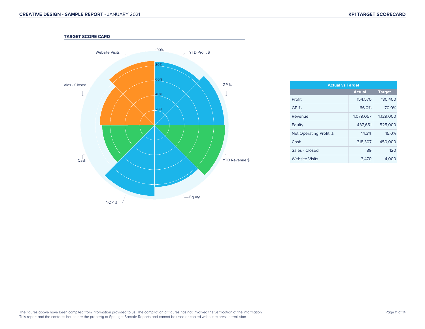

| <b>Actual vs Target</b> |               |  |  |  |  |  |  |  |
|-------------------------|---------------|--|--|--|--|--|--|--|
| <b>Actual</b>           | <b>Target</b> |  |  |  |  |  |  |  |
| 154,570                 | 180,400       |  |  |  |  |  |  |  |
| 66.0%                   | 70.0%         |  |  |  |  |  |  |  |
| 1,079,057               | 1,129,000     |  |  |  |  |  |  |  |
| 437.651                 | 525,000       |  |  |  |  |  |  |  |
| 14.3%                   | 15.0%         |  |  |  |  |  |  |  |
| 318,307                 | 450,000       |  |  |  |  |  |  |  |
| 89                      | 120           |  |  |  |  |  |  |  |
| 3,470                   | 4,000         |  |  |  |  |  |  |  |
|                         |               |  |  |  |  |  |  |  |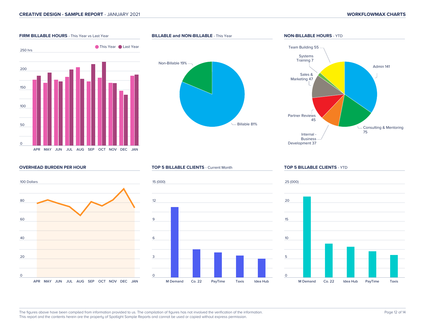Admin 141

#### **FIRM BILLABLE HOURS** - This Year vs Last Year 250 hrs 200 150 100 50 0 **This Year Cast Year BILLABLE and NON-BILLABLE** - This Year Billable 81% Non-Billable 19% **NON-BILLABLE HOURS** - YTD └ Consulting & Mentoring<br>75 Internal -Business Development 37 Partner Reviews 45 Sales & Marketing 47 Systems Training 7 Team Building 55

#### **OVERHEAD BURDEN PER HOUR**



APR MAY JUN JUL AUG SEP OCT NOV DEC JAN

#### **TOP 5 BILLABLE CLIENTS** - Current Month



#### **TOP 5 BILLABLE CLIENTS** - YTD

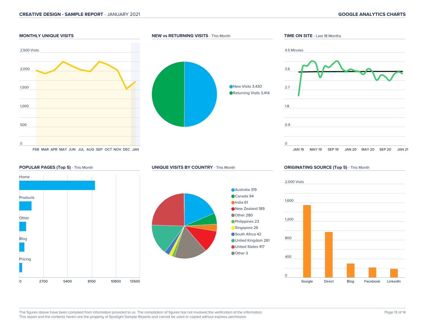